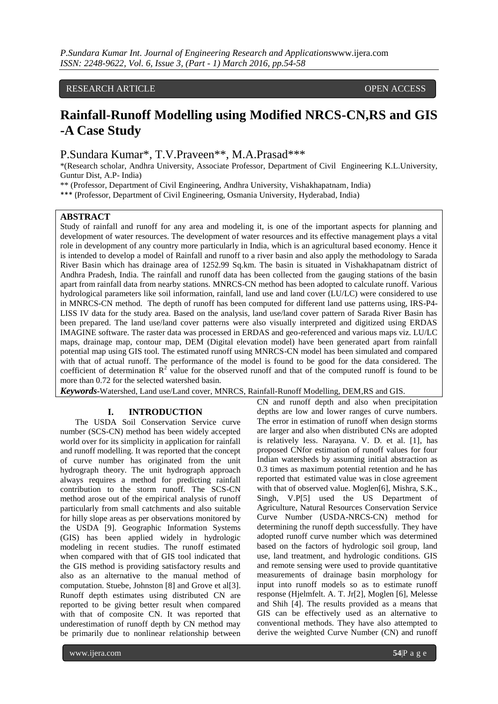# RESEARCH ARTICLE **CONSERVERS** OPEN ACCESS

# **Rainfall-Runoff Modelling using Modified NRCS-CN,RS and GIS -A Case Study**

P.Sundara Kumar\*, T.V.Praveen\*\*, M.A.Prasad\*\*\*

\*(Research scholar, Andhra University, Associate Professor, Department of Civil Engineering K.L.University, Guntur Dist, A.P- India)

\*\* (Professor, Department of Civil Engineering, Andhra University, Vishakhapatnam, India)

\*\*\* (Professor, Department of Civil Engineering, Osmania University, Hyderabad, India)

# **ABSTRACT**

Study of rainfall and runoff for any area and modeling it, is one of the important aspects for planning and development of water resources. The development of water resources and its effective management plays a vital role in development of any country more particularly in India, which is an agricultural based economy. Hence it is intended to develop a model of Rainfall and runoff to a river basin and also apply the methodology to Sarada River Basin which has drainage area of 1252.99 Sq.km. The basin is situated in Vishakhapatnam district of Andhra Pradesh, India. The rainfall and runoff data has been collected from the gauging stations of the basin apart from rainfall data from nearby stations. MNRCS-CN method has been adopted to calculate runoff. Various hydrological parameters like soil information, rainfall, land use and land cover (LU/LC) were considered to use in MNRCS-CN method. The depth of runoff has been computed for different land use patterns using, IRS-P4- LISS IV data for the study area. Based on the analysis, land use/land cover pattern of Sarada River Basin has been prepared. The land use/land cover patterns were also visually interpreted and digitized using ERDAS IMAGINE software. The raster data was processed in ERDAS and geo-referenced and various maps viz. LU/LC maps, drainage map, contour map, DEM (Digital elevation model) have been generated apart from rainfall potential map using GIS tool. The estimated runoff using MNRCS-CN model has been simulated and compared with that of actual runoff. The performance of the model is found to be good for the data considered. The coefficient of determination  $R^2$  value for the observed runoff and that of the computed runoff is found to be more than 0.72 for the selected watershed basin.

*Keywords***-**Watershed, Land use/Land cover, MNRCS, Rainfall-Runoff Modelling, DEM,RS and GIS.

#### **I. INTRODUCTION**

The USDA Soil Conservation Service curve number (SCS-CN) method has been widely accepted world over for its simplicity in application for rainfall and runoff modelling. It was reported that the concept of curve number has originated from the unit hydrograph theory. The unit hydrograph approach always requires a method for predicting rainfall contribution to the storm runoff. The SCS-CN method arose out of the empirical analysis of runoff particularly from small catchments and also suitable for hilly slope areas as per observations monitored by the USDA [9]. Geographic Information Systems (GIS) has been applied widely in hydrologic modeling in recent studies. The runoff estimated when compared with that of GIS tool indicated that the GIS method is providing satisfactory results and also as an alternative to the manual method of computation. Stuebe, Johnston [8] and Grove et al[3]. Runoff depth estimates using distributed CN are reported to be giving better result when compared with that of composite CN. It was reported that underestimation of runoff depth by CN method may be primarily due to nonlinear relationship between

CN and runoff depth and also when precipitation depths are low and lower ranges of curve numbers. The error in estimation of runoff when design storms are larger and also when distributed CNs are adopted is relatively less. Narayana. V. D. et al. [1], has proposed CNfor estimation of runoff values for four Indian watersheds by assuming initial abstraction as 0.3 times as maximum potential retention and he has reported that estimated value was in close agreement with that of observed value. Moglen[6], Mishra, S.K., Singh, V.P[5] used the US Department of Agriculture, Natural Resources Conservation Service Curve Number (USDA-NRCS-CN) method for determining the runoff depth successfully. They have adopted runoff curve number which was determined based on the factors of hydrologic soil group, land use, land treatment, and hydrologic conditions. GIS and remote sensing were used to provide quantitative measurements of drainage basin morphology for input into runoff models so as to estimate runoff response (Hjelmfelt. A. T. Jr[2], Moglen [6], Melesse and Shih [4]. The results provided as a means that GIS can be effectively used as an alternative to conventional methods. They have also attempted to derive the weighted Curve Number (CN) and runoff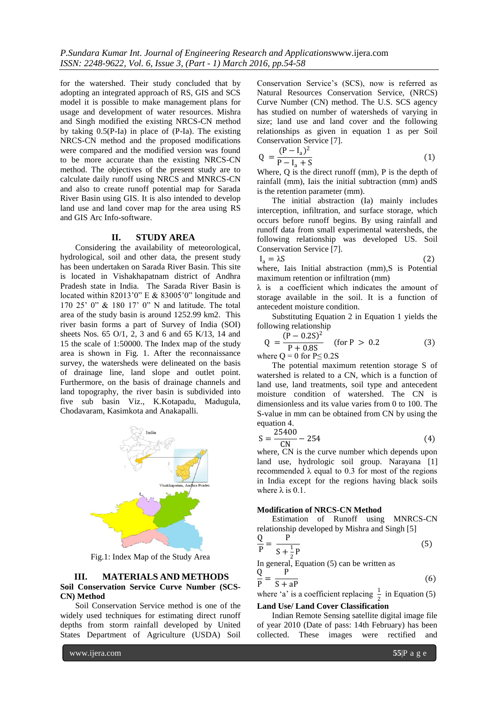for the watershed. Their study concluded that by adopting an integrated approach of RS, GIS and SCS model it is possible to make management plans for usage and development of water resources. Mishra and Singh modified the existing NRCS-CN method by taking 0.5(P-Ia) in place of (P-Ia). The existing NRCS-CN method and the proposed modifications were compared and the modified version was found to be more accurate than the existing NRCS-CN method. The objectives of the present study are to calculate daily runoff using NRCS and MNRCS-CN and also to create runoff potential map for Sarada River Basin using GIS. It is also intended to develop land use and land cover map for the area using RS and GIS Arc Info-software.

## **II. STUDY AREA**

Considering the availability of meteorological, hydrological, soil and other data, the present study has been undertaken on Sarada River Basin. This site is located in Vishakhapatnam district of Andhra Pradesh state in India. The Sarada River Basin is located within 82013'0" E & 83005'0" longitude and 170 25' 0" & 180 17' 0" N and latitude. The total area of the study basin is around 1252.99 km2. This river basin forms a part of Survey of India (SOI) sheets Nos. 65 O/1, 2, 3 and 6 and 65 K/13, 14 and 15 the scale of 1:50000. The Index map of the study area is shown in Fig. 1. After the reconnaissance survey, the watersheds were delineated on the basis of drainage line, land slope and outlet point. Furthermore, on the basis of drainage channels and land topography, the river basin is subdivided into five sub basin Viz., K.Kotapadu, Madugula, Chodavaram, Kasimkota and Anakapalli.



Fig.1: Index Map of the Study Area

#### **III. MATERIALS AND METHODS Soil Conservation Service Curve Number (SCS-CN) Method**

Soil Conservation Service method is one of the widely used techniques for estimating direct runoff depths from storm rainfall developed by United States Department of Agriculture (USDA) Soil

Conservation Service's (SCS), now is referred as Natural Resources Conservation Service, (NRCS) Curve Number (CN) method. The U.S. SCS agency has studied on number of watersheds of varying in size; land use and land cover and the following relationships as given in equation 1 as per Soil Conservation Service [7].

$$
Q = \frac{(P - I_a)^2}{P - I_a + S}
$$
 (1)

Where, Q is the direct runoff (mm), P is the depth of rainfall (mm), Iais the initial subtraction (mm) andS is the retention parameter (mm).

The initial abstraction (Ia) mainly includes interception, infiltration, and surface storage, which occurs before runoff begins. By using rainfall and runoff data from small experimental watersheds, the following relationship was developed US. Soil Conservation Service [7].

$$
I_a = \lambda S \tag{2}
$$

where, Iais Initial abstraction (mm), S is Potential maximum retention or infiltration (mm)

λ is a coefficient which indicates the amount of storage available in the soil. It is a function of antecedent moisture condition.

Substituting Equation 2 in Equation 1 yields the following relationship

$$
Q = \frac{(P - 0.2S)^2}{P + 0.8S} \quad \text{(for } P > 0.2 \tag{3}
$$

where  $Q = 0$  for  $P \leq 0.2S$ 

The potential maximum retention storage S of watershed is related to a CN, which is a function of land use, land treatments, soil type and antecedent moisture condition of watershed. The CN is dimensionless and its value varies from 0 to 100. The S-value in mm can be obtained from CN by using the equation 4.

$$
S = \frac{25400}{CN} - 254\tag{4}
$$

where, CN is the curve number which depends upon land use, hydrologic soil group. Narayana [1] recommended λ equal to 0.3 for most of the regions in India except for the regions having black soils where  $\lambda$  is 0.1.

#### **Modification of NRCS-CN Method**

Estimation of Runoff using MNRCS-CN relationship developed by Mishra and Singh [5]  $\Omega$ 

$$
\frac{Q}{P} = \frac{P}{S + \frac{1}{2}P}
$$
\n(5)

In general, Equation  $(5)$  can be written as

$$
\frac{Q}{P} = \frac{P}{S + aP} \tag{6}
$$

where 'a' is a coefficient replacing  $\frac{1}{2}$  in Equation (5)

# **Land Use/ Land Cover Classification**

Indian Remote Sensing satellite digital image file of year 2010 (Date of pass: 14th February) has been collected. These images were rectified and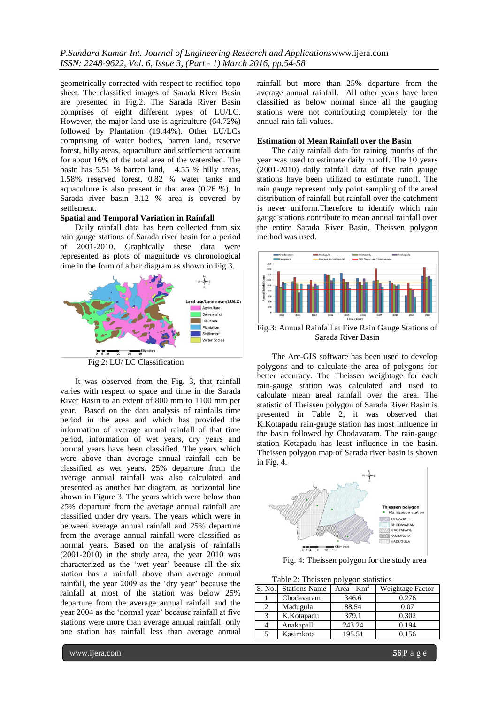geometrically corrected with respect to rectified topo sheet. The classified images of Sarada River Basin are presented in Fig.2. The Sarada River Basin comprises of eight different types of LU/LC. However, the major land use is agriculture (64.72%) followed by Plantation (19.44%). Other LU/LCs comprising of water bodies, barren land, reserve forest, hilly areas, aquaculture and settlement account for about 16% of the total area of the watershed. The basin has 5.51 % barren land, 4.55 % hilly areas, 1.58% reserved forest, 0.82 % water tanks and aquaculture is also present in that area (0.26 %). In Sarada river basin 3.12 % area is covered by settlement.

#### **Spatial and Temporal Variation in Rainfall**

Daily rainfall data has been collected from six rain gauge stations of Sarada river basin for a period of 2001-2010. Graphically these data were represented as plots of magnitude vs chronological time in the form of a bar diagram as shown in Fig.3.



Fig.2: LU/ LC Classification

It was observed from the Fig. 3, that rainfall varies with respect to space and time in the Sarada River Basin to an extent of 800 mm to 1100 mm per year. Based on the data analysis of rainfalls time period in the area and which has provided the information of average annual rainfall of that time period, information of wet years, dry years and normal years have been classified. The years which were above than average annual rainfall can be classified as wet years. 25% departure from the average annual rainfall was also calculated and presented as another bar diagram, as horizontal line shown in Figure 3. The years which were below than 25% departure from the average annual rainfall are classified under dry years. The years which were in between average annual rainfall and 25% departure from the average annual rainfall were classified as normal years. Based on the analysis of rainfalls (2001-2010) in the study area, the year 2010 was characterized as the 'wet year' because all the six station has a rainfall above than average annual rainfall, the year 2009 as the 'dry year' because the rainfall at most of the station was below 25% departure from the average annual rainfall and the year 2004 as the 'normal year' because rainfall at five stations were more than average annual rainfall, only one station has rainfall less than average annual

rainfall but more than 25% departure from the average annual rainfall. All other years have been classified as below normal since all the gauging stations were not contributing completely for the annual rain fall values.

#### **Estimation of Mean Rainfall over the Basin**

The daily rainfall data for raining months of the year was used to estimate daily runoff. The 10 years (2001-2010) daily rainfall data of five rain gauge stations have been utilized to estimate runoff. The rain gauge represent only point sampling of the areal distribution of rainfall but rainfall over the catchment is never uniform.Therefore to identify which rain gauge stations contribute to mean annual rainfall over the entire Sarada River Basin, Theissen polygon method was used.



Fig.3: Annual Rainfall at Five Rain Gauge Stations of Sarada River Basin

The Arc-GIS software has been used to develop polygons and to calculate the area of polygons for better accuracy. The Theissen weightage for each rain-gauge station was calculated and used to calculate mean areal rainfall over the area. The statistic of Theissen polygon of Sarada River Basin is presented in Table 2, it was observed that K.Kotapadu rain-gauge station has most influence in the basin followed by Chodavaram. The rain-gauge station Kotapadu has least influence in the basin. Theissen polygon map of Sarada river basin is shown in Fig. 4.



Fig. 4: Theissen polygon for the study area

| Table 2: Theissen polygon statistics |                      |               |                  |  |  |
|--------------------------------------|----------------------|---------------|------------------|--|--|
| S. No.                               | <b>Stations Name</b> | Area - $Km^2$ | Weightage Factor |  |  |
|                                      | Chodavaram           | 346.6         | 0.276            |  |  |
|                                      | Madugula             | 88.54         | 0.07             |  |  |
| 3                                    | K.Kotapadu           | 379.1         | 0.302            |  |  |
|                                      | Anakapalli           | 243.24        | 0.194            |  |  |
|                                      | Kasimkota            | 195.51        | 0.156            |  |  |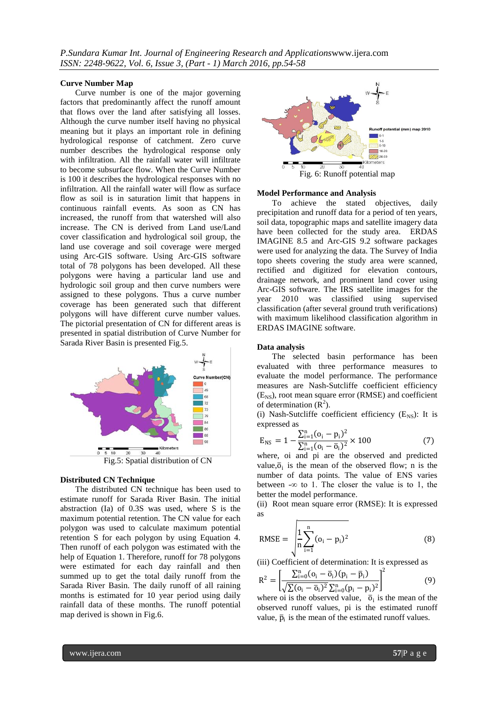*P.Sundara Kumar Int. Journal of Engineering Research and Applications*www.ijera.com *ISSN: 2248-9622, Vol. 6, Issue 3, (Part - 1) March 2016, pp.54-58*

#### **Curve Number Map**

Curve number is one of the major governing factors that predominantly affect the runoff amount that flows over the land after satisfying all losses. Although the curve number itself having no physical meaning but it plays an important role in defining hydrological response of catchment. Zero curve number describes the hydrological response only with infiltration. All the rainfall water will infiltrate to become subsurface flow. When the Curve Number is 100 it describes the hydrological responses with no infiltration. All the rainfall water will flow as surface flow as soil is in saturation limit that happens in continuous rainfall events. As soon as CN has increased, the runoff from that watershed will also increase. The CN is derived from Land use/Land cover classification and hydrological soil group, the land use coverage and soil coverage were merged using Arc-GIS software. Using Arc-GIS software total of 78 polygons has been developed. All these polygons were having a particular land use and hydrologic soil group and then curve numbers were assigned to these polygons. Thus a curve number coverage has been generated such that different polygons will have different curve number values. The pictorial presentation of CN for different areas is presented in spatial distribution of Curve Number for Sarada River Basin is presented Fig.5.



## **Distributed CN Technique**

The distributed CN technique has been used to estimate runoff for Sarada River Basin. The initial abstraction (Ia) of 0.3S was used, where S is the maximum potential retention. The CN value for each polygon was used to calculate maximum potential retention S for each polygon by using Equation 4. Then runoff of each polygon was estimated with the help of Equation 1. Therefore, runoff for 78 polygons were estimated for each day rainfall and then summed up to get the total daily runoff from the Sarada River Basin. The daily runoff of all raining months is estimated for 10 year period using daily rainfall data of these months. The runoff potential map derived is shown in Fig.6.



#### **Model Performance and Analysis**

To achieve the stated objectives, daily precipitation and runoff data for a period of ten years, soil data, topographic maps and satellite imagery data have been collected for the study area. ERDAS IMAGINE 8.5 and Arc-GIS 9.2 software packages were used for analyzing the data. The Survey of India topo sheets covering the study area were scanned, rectified and digitized for elevation contours, drainage network, and prominent land cover using Arc-GIS software. The IRS satellite images for the year 2010 was classified using supervised classification (after several ground truth verifications) with maximum likelihood classification algorithm in ERDAS IMAGINE software.

#### **Data analysis**

The selected basin performance has been evaluated with three performance measures to evaluate the model performance. The performance measures are Nash-Sutcliffe coefficient efficiency  $(E_{NS})$ , root mean square error (RMSE) and coefficient of determination  $(R^2)$ .

(i) Nash-Sutcliffe coefficient efficiency  $(E_{NS})$ : It is expressed as

$$
E_{NS} = 1 - \frac{\sum_{i=1}^{n} (o_i - p_i)^2}{\sum_{i=1}^{n} (o_i - \overline{o}_i)^2} \times 100
$$
 (7)

where, oi and pi are the observed and predicted value, $\overline{o}_i$  is the mean of the observed flow; n is the number of data points. The value of ENS varies between  $-\infty$  to 1. The closer the value is to 1, the better the model performance.

(ii) Root mean square error (RMSE): It is expressed as

RMSE = 
$$
\sqrt{\frac{1}{n} \sum_{i=1}^{n} (o_i - p_i)^2}
$$
 (8)

(iii) Coefficient of determination: It is expressed as

$$
R^{2} = \left[ \frac{\sum_{i=0}^{n} (o_{i} - \overline{o}_{i})(p_{i} - \overline{p}_{i})}{\sqrt{\sum (o_{i} - \overline{o}_{i})^{2}} \sum_{i=0}^{n} (p_{i} - p_{i})^{2}} \right]^{2}
$$
(9)

where oi is the observed value,  $\bar{o}_i$  is the mean of the observed runoff values, pi is the estimated runoff value,  $\bar{p}_i$  is the mean of the estimated runoff values.